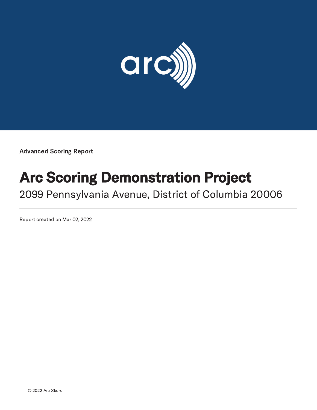

Advanced Scoring Report

# Arc Scoring Demonstration Project

2099 Pennsylvania Avenue, District of Columbia 20006

Report created on Mar 02, 2022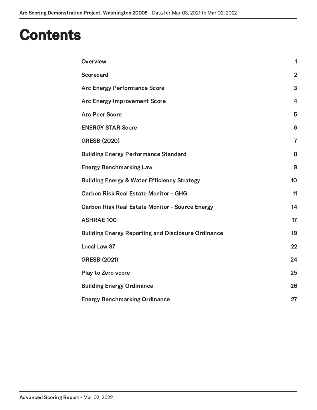### **Contents**

| Overview                                                  | 1               |
|-----------------------------------------------------------|-----------------|
| <b>Scorecard</b>                                          | $\overline{2}$  |
| <b>Arc Energy Performance Score</b>                       | 3               |
| <b>Arc Energy Improvement Score</b>                       | $\overline{4}$  |
| <b>Arc Peer Score</b>                                     | 5               |
| <b>ENERGY STAR Score</b>                                  | 6               |
| <b>GRESB (2020)</b>                                       | $\overline{7}$  |
| <b>Building Energy Performance Standard</b>               | 8               |
| <b>Energy Benchmarking Law</b>                            | 9               |
| <b>Building Energy &amp; Water Efficiency Strategy</b>    | 10 <sub>1</sub> |
| <b>Carbon Risk Real Estate Monitor - GHG</b>              | 11              |
| <b>Carbon Risk Real Estate Monitor - Source Energy</b>    | 14              |
| <b>ASHRAE 100</b>                                         | 17              |
| <b>Building Energy Reporting and Disclosure Ordinance</b> | 19              |
| <b>Local Law 97</b>                                       | 22              |
| <b>GRESB (2021)</b>                                       | 24              |
| Play to Zero score                                        | 25              |
| <b>Building Energy Ordinance</b>                          | 26              |
| <b>Energy Benchmarking Ordinance</b>                      | 27              |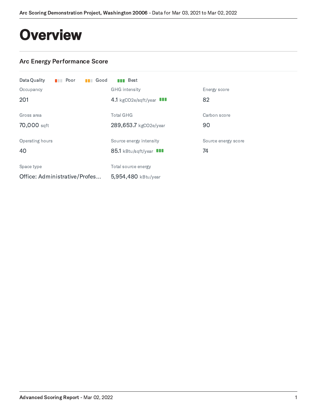### <span id="page-2-0"></span>**Overview**

### Arc Energy Performance Score

| Data Quality<br>$\blacksquare$ Poor | $\blacksquare$ Good | <b>Bull</b> Best         |                     |
|-------------------------------------|---------------------|--------------------------|---------------------|
| Occupancy                           |                     | <b>GHG</b> intensity     | Energy score        |
| 201                                 |                     | 4.1 kgCO2e/sqft/year III | 82                  |
| Gross area                          |                     | <b>Total GHG</b>         | Carbon score        |
| 70,000 sqft                         |                     | 289,653.7 kgCO2e/year    | 90                  |
| Operating hours                     |                     | Source energy intensity  | Source energy score |
| 40                                  |                     | 85.1 kBtu/sqft/year III  | 74                  |
| Space type                          |                     | Total source energy      |                     |
| Office: Administrative/Profes       |                     | 5,954,480 kBtu/year      |                     |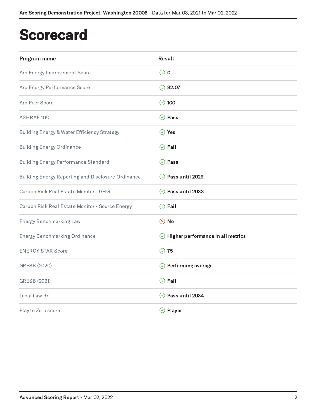### <span id="page-3-0"></span>**Scorecard**

| Program name                                              | <b>Result</b>                             |
|-----------------------------------------------------------|-------------------------------------------|
| Arc Energy Improvement Score                              | $\odot$ 0                                 |
| Arc Energy Performance Score                              | $\oslash$ 82.07                           |
| Arc Peer Score                                            | $\odot$ 100                               |
| <b>ASHRAE 100</b>                                         | $\odot$ Pass                              |
| Building Energy & Water Efficiency Strategy               | $\oslash$ Yes                             |
| <b>Building Energy Ordinance</b>                          | $\oslash$ Fail                            |
| <b>Building Energy Performance Standard</b>               | $\oslash$ Pass                            |
| <b>Building Energy Reporting and Disclosure Ordinance</b> | ⊙ Pass until 2029                         |
| Carbon Risk Real Estate Monitor - GHG                     | $\odot$ Pass until 2033                   |
| Carbon Risk Real Estate Monitor - Source Energy           | $\oslash$ Fail                            |
| <b>Energy Benchmarking Law</b>                            | $\circledR$ No                            |
| <b>Energy Benchmarking Ordinance</b>                      | $\odot$ Higher performance in all metrics |
| <b>ENERGY STAR Score</b>                                  | $\oslash$ 75                              |
| GRESB (2020)                                              | $\oslash$ Performing average              |
| GRESB (2021)                                              | $\odot$ Fail                              |
| Local Law 97                                              | $\odot$ Pass until 2034                   |
| Play to Zero score                                        | $\oslash$ Player                          |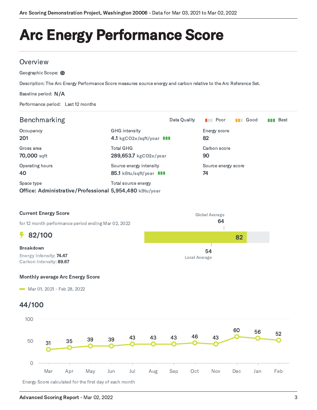# <span id="page-4-0"></span>Arc Energy Performance Score

#### **Overview**

Geographic Scope: (1)

Description: The Arc Energy Performance Score measures source energy and carbon relative to the Arc Reference Set.

Baseline period: N/A

Performance period: Last 12 months

| <b>Benchmarking</b>                                                   |                                                    | Data Quality | $\blacksquare$ Poor       | $\blacksquare$ Good | Best<br>n na |
|-----------------------------------------------------------------------|----------------------------------------------------|--------------|---------------------------|---------------------|--------------|
| Occupancy<br>201                                                      | <b>GHG</b> intensity<br>4.1 kgCO2e/sqft/year III   |              | Energy score<br>82        |                     |              |
| Gross area<br>70,000 sqft                                             | <b>Total GHG</b><br>289,653.7 kgCO2e/year          |              | Carbon score<br>90        |                     |              |
| Operating hours<br>40                                                 | Source energy intensity<br>85.1 kBtu/sqft/year III |              | Source energy score<br>74 |                     |              |
| Space type<br>Office: Administrative/Professional 5,954,480 kBtu/year | Total source energy                                |              |                           |                     |              |



#### Monthly average Arc Energy Score

Mar 01, 2021 - Feb 28, 2022

### 44/100

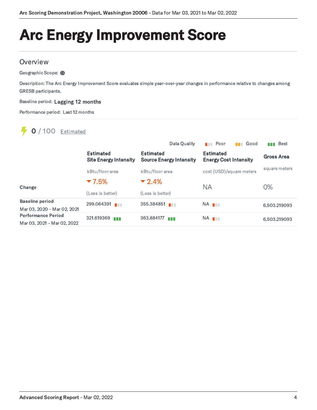# <span id="page-5-0"></span>Arc Energy Improvement Score

#### **Overview**

Geographic Scope: (1)

Description: The Arc Energy Improvement Score evaluates simple year-over-year changes in performance relative to changes among GRESB participants.

Baseline period: Lagging 12 months

Performance period: Last 12 months

### **0** / 100 **Estimated**

|                             |                                                  | Data Quality                                       | Good<br>Poor                                     | Best<br>N N T |
|-----------------------------|--------------------------------------------------|----------------------------------------------------|--------------------------------------------------|---------------|
|                             | <b>Estimated</b><br><b>Site Energy Intensity</b> | <b>Estimated</b><br><b>Source Energy Intensity</b> | <b>Estimated</b><br><b>Energy Cost Intensity</b> | Gross Area    |
|                             | kBtu/floor area                                  | kBtu/floor area                                    | cost (USD)/square meters                         | square meters |
| Change                      | $-7.5%$                                          | $-2.4%$<br><b>NA</b>                               |                                                  | 0%            |
|                             | (Less is better)                                 | (Less is better)                                   |                                                  |               |
| <b>Baseline period</b>      | 299.064391                                       | 355.384851                                         | NA <b>I</b>                                      | 6.503.219093  |
| Mar 03, 2020 - Mar 02, 2021 |                                                  |                                                    |                                                  |               |
| <b>Performance Period</b>   | 321.619369                                       | 363.884177                                         | NA <b>I</b>                                      | 6,503.219093  |
| Mar 03, 2021 - Mar 02, 2022 |                                                  |                                                    |                                                  |               |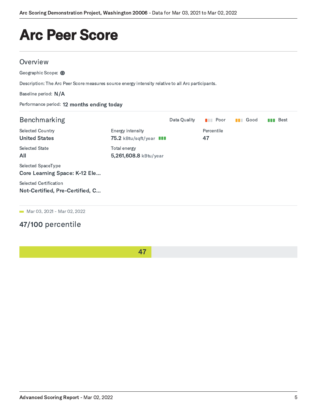### <span id="page-6-0"></span>Arc Peer Score

#### **Overview**

Geographic Scope: (1)

Description: The Arc Peer Score measures source energy intensity relative to all Arc participants.

Baseline period: N/A

Performance period: 12 months ending today

| <b>Benchmarking</b>                                        |                                             | Data Quality | Poor<br><b>The Second</b> | Good<br>n n | Best<br>N N N |
|------------------------------------------------------------|---------------------------------------------|--------------|---------------------------|-------------|---------------|
| <b>Selected Country</b><br><b>United States</b>            | Energy intensity<br>75.2 kBtu/sqft/year III |              | Percentile<br>47          |             |               |
| <b>Selected State</b><br>All                               | Total energy<br>5,261,608.8 kBtu/year       |              |                           |             |               |
| Selected SpaceType<br><b>Core Learning Space: K-12 Ele</b> |                                             |              |                           |             |               |
| Selected Certification<br>Not-Certified, Pre-Certified, C  |                                             |              |                           |             |               |

**Mar 03, 2021 - Mar 02, 2022** 

### 47/100 percentile

47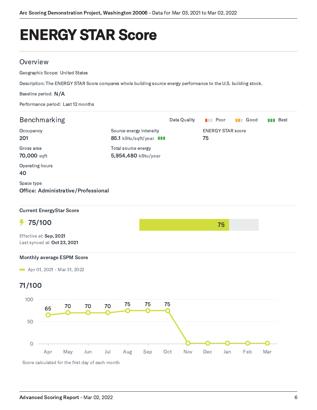### <span id="page-7-0"></span>ENERGY STAR Score

#### **Overview**

Geographic Scope: United States

Description: The ENERGY STAR Score compares whole building source energy performance to the U.S. building stock.

#### Baseline period: N/A

Performance period: Last 12 months

| Benchmarking                      |        |                              |                                                    |        |                     |                                |     | Data Quality | <b>Dell</b> Poor |     |  | <b>B</b> Good |     | <b>Bull</b> Best |
|-----------------------------------|--------|------------------------------|----------------------------------------------------|--------|---------------------|--------------------------------|-----|--------------|------------------|-----|--|---------------|-----|------------------|
| Occupancy<br>201                  |        |                              | Source energy intensity<br>85.1 kBtu/sqft/year III |        |                     | <b>ENERGY STAR score</b><br>75 |     |              |                  |     |  |               |     |                  |
| Gross area<br>70,000 sqft         |        |                              |                                                    |        | Total source energy | 5,954,480 kBtu/year            |     |              |                  |     |  |               |     |                  |
| Operating hours<br>40             |        |                              |                                                    |        |                     |                                |     |              |                  |     |  |               |     |                  |
| Space type                        |        |                              | <b>Office: Administrative/Professional</b>         |        |                     |                                |     |              |                  |     |  |               |     |                  |
| <b>Current EnergyStar Score</b>   |        |                              |                                                    |        |                     |                                |     |              |                  |     |  |               |     |                  |
| ł,                                | 75/100 |                              |                                                    |        |                     |                                |     |              |                  | 75  |  |               |     |                  |
| Effective at: Sep, 2021           |        | Last synced at: Oct 23, 2021 |                                                    |        |                     |                                |     |              |                  |     |  |               |     |                  |
| <b>Monthly average ESPM Score</b> |        |                              |                                                    |        |                     |                                |     |              |                  |     |  |               |     |                  |
| Apr 01, 2021 - Mar 31, 2022       |        |                              |                                                    |        |                     |                                |     |              |                  |     |  |               |     |                  |
| 71/100                            |        |                              |                                                    |        |                     |                                |     |              |                  |     |  |               |     |                  |
| 100                               | 65     | 70                           | 70                                                 | $70\,$ | 75                  | 75                             | 75  |              |                  |     |  |               |     |                  |
| 50                                |        |                              |                                                    |        |                     |                                |     |              |                  |     |  |               |     |                  |
| $\circ$                           | Apr    | May                          | Jun                                                | Jul    | Aug                 | Sep                            | Oct | Nov          | Dec              | Jan |  | Feb           | Mar |                  |
|                                   |        |                              | Score calculated for the first day of each month   |        |                     |                                |     |              |                  |     |  |               |     |                  |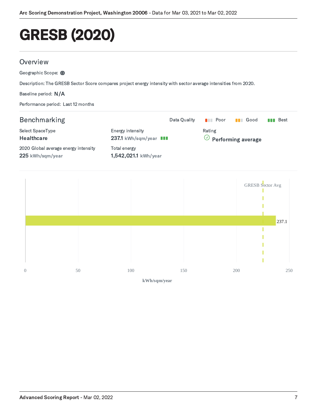# <span id="page-8-0"></span>GRESB (2020)

#### **Overview**

Geographic Scope: (1)

Description: The GRESB Sector Score compares project energy intensity with sector average intensities from 2020.

Baseline period: N/A

Performance period: Last 12 months

#### Benchmarking **Benchmarking Benchmarking Best Benchmarking Best Best Data Quality III** Poor **III** Good **III** Best Select SpaceType **Healthcare** 2020 Global average energy intensity 225 kWh/sqm/year Energy intensity 237.1 kWh/sqm/year **III** Total energy 1,542,021.1 kWh/year Rating  $\oslash$  Performing average

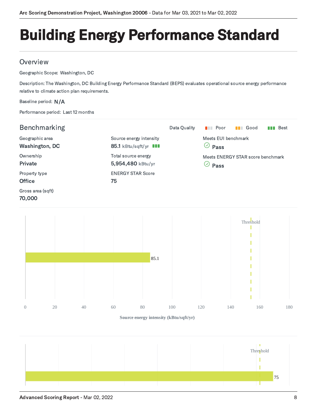# <span id="page-9-0"></span>Building Energy Performance Standard

### **Overview**

Geographic Scope: Washington, DC

Description: The Washington, DC Building Energy Performance Standard (BEPS) evaluates operational source energy performance relative to climate action plan requirements.

#### Baseline period: N/A

Performance period: Last 12 months

| Benchmarking                      |                                                         | Data Quality | Poor<br><b>The Contract of Street</b> | Good<br><b>The Co</b>             | <b>Best</b><br>nn |
|-----------------------------------|---------------------------------------------------------|--------------|---------------------------------------|-----------------------------------|-------------------|
| Geographic area<br>Washington, DC | Source energy intensity<br>85.1 kBtu/sqft/yr <b>III</b> |              | Meets FUI benchmark<br>у<br>Pass      |                                   |                   |
| Ownership<br>Private              | Total source energy<br>5,954,480 kBtu/yr                |              | $\mathcal{S}(\mathcal{S})$<br>Pass    | Meets ENERGY STAR score benchmark |                   |
| Property type<br><b>Office</b>    | <b>ENERGY STAR Score</b><br>75                          |              |                                       |                                   |                   |
| Gross area (sqft)<br>70,000       |                                                         |              |                                       |                                   |                   |



**Source energy intensity (kBtu/sqft/yr)**

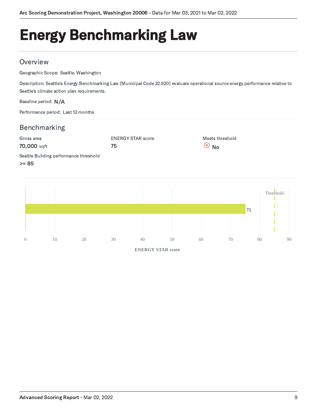# <span id="page-10-0"></span>Energy Benchmarking Law

#### **Overview**

Geographic Scope: Seattle, Washington

Description: Seattle's Energy Benchmarking Law (Municipal Code 22.920) evaluate operational source energy performance relative to Seattle's climate action plan requirements.

Baseline period: N/A

Performance period: Last 12 months

### Benchmarking





**ENERGY STAR score**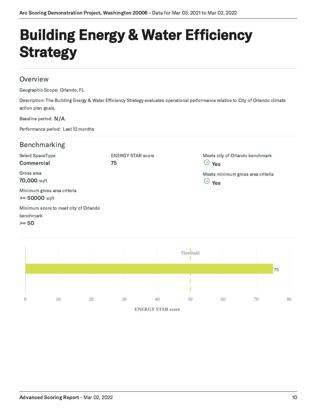# <span id="page-11-0"></span>Building Energy & Water Efficiency **Strategy**

#### **Overview**

Geographic Scope: Orlando, FL

Description: The Building Energy & Water Efficiency Strategy evaluates operational performance relative to City of Orlando climate action plan goals.

#### Baseline period: N/A

Performance period: Last 12 months

### Benchmarking

| Select SpaceType                                              | <b>ENERGY STAR score</b> | Meets city of Orlando benchmark                       |
|---------------------------------------------------------------|--------------------------|-------------------------------------------------------|
| Commercial                                                    | 75                       | $\heartsuit$ Yes                                      |
| Gross area<br>70,000 sqft                                     |                          | Meets minimum gross area criteria<br>$\heartsuit$ Yes |
| Minimum gross area criteria<br>$>= 50000$ sqft                |                          |                                                       |
| Minimum score to meet city of Orlando<br>benchmark<br>$>= 50$ |                          |                                                       |

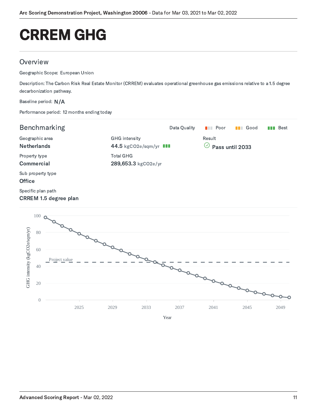## <span id="page-12-0"></span>CRREM GHG

#### **Overview**

Geographic Scope: European Union

Description: The Carbon Risk Real Estate Monitor (CRREM) evaluates operational greenhouse gas emissions relative to a 1.5 degree decarbonization pathway.

Baseline period: N/A

Performance period: 12 months ending today

| <b>Benchmarking</b>                                |                                                | Data Quality | Poor<br><b>TELESCOPE</b> | <b>B</b> Good   | Best<br>n n n |
|----------------------------------------------------|------------------------------------------------|--------------|--------------------------|-----------------|---------------|
| Geographic area<br><b>Netherlands</b>              | <b>GHG</b> intensity<br>44.5 kgCO2e/sqm/yr III |              | Result<br>$(\checkmark)$ | Pass until 2033 |               |
| Property type<br><b>Commercial</b>                 | <b>Total GHG</b><br>289,653.3 kgCO2e/yr        |              |                          |                 |               |
| Sub property type<br><b>Office</b>                 |                                                |              |                          |                 |               |
| Specific plan path<br><b>CRREM 1.5 degree plan</b> |                                                |              |                          |                 |               |
| $100 -$                                            |                                                |              |                          |                 |               |

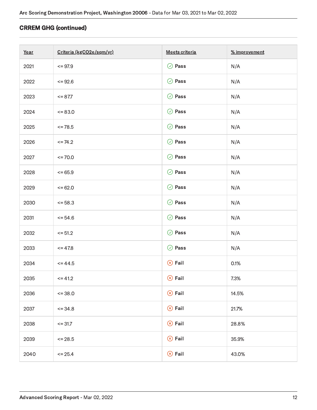#### CRREM GHG (continued)

| Year | Criteria (kgCO2e/sqm/yr) | Meets criteria   | % improvement |
|------|--------------------------|------------------|---------------|
| 2021 | $= 97.9$                 | $\odot$ Pass     | N/A           |
| 2022 | $= 92.6$                 | $\oslash$ Pass   | N/A           |
| 2023 | $= 87.7$                 | $\oslash$ Pass   | N/A           |
| 2024 | $= 83.0$                 | $\oslash$ Pass   | N/A           |
| 2025 | $= 78.5$                 | $\oslash$ Pass   | N/A           |
| 2026 | $\leq$ 74.2              | $\odot$ Pass     | N/A           |
| 2027 | $\le$ = 70.0             | $\oslash$ Pass   | N/A           |
| 2028 | $= 65.9$                 | $\odot$ Pass     | N/A           |
| 2029 | $= 62.0$                 | $\oslash$ Pass   | N/A           |
| 2030 | $= 58.3$                 | $\oslash$ Pass   | N/A           |
| 2031 | $= 54.6$                 | $\oslash$ Pass   | N/A           |
| 2032 | $\le$ = 51.2             | $\oslash$ Pass   | N/A           |
| 2033 | $= 47.8$                 | $\odot$ Pass     | N/A           |
| 2034 | $= 44.5$                 | $\circledR$ Fail | 0.1%          |
| 2035 | $\le$ = 41.2             | $\circledR$ Fail | 7.3%          |
| 2036 | $= 38.0$                 | $\circledR$ Fail | 14.5%         |
| 2037 | $= 34.8$                 | $\circledR$ Fail | 21.7%         |
| 2038 | $= 31.7$                 | $\circledR$ Fail | 28.8%         |
| 2039 | $\le$ 28.5               | $\circledR$ Fail | 35.9%         |
| 2040 | $\le$ = 25.4             | $\circledR$ Fail | 43.0%         |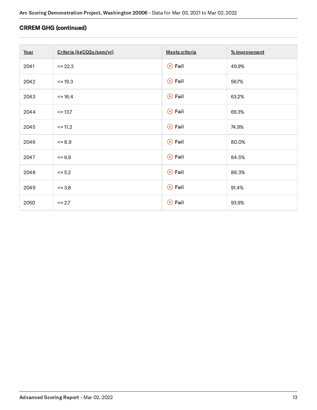#### CRREM GHG (continued)

| Year | Criteria (kgCO2e/sqm/yr) | Meets criteria   | % improvement |
|------|--------------------------|------------------|---------------|
| 2041 | $\le$ = 22.3             | $\circledR$ Fail | 49.9%         |
| 2042 | $= 19.3$                 | $\circledR$ Fail | 56.7%         |
| 2043 | $= 16.4$                 | $\circledR$ Fail | 63.2%         |
| 2044 | $= 13.7$                 | $\circledR$ Fail | 69.3%         |
| 2045 | $\le$ = 11.2             | $\circledR$ Fail | 74.9%         |
| 2046 | $<=8.9$                  | $\circledR$ Fail | 80.0%         |
| 2047 | $= 6.9$                  | $\circledR$ Fail | 84.5%         |
| 2048 | $\le$ = 5.2              | $\circledR$ Fail | 88.3%         |
| 2049 | $= 3.8$                  | $\circledR$ Fail | 91.4%         |
| 2050 | $\le$ = 2.7              | $\circledR$ Fail | 93.9%         |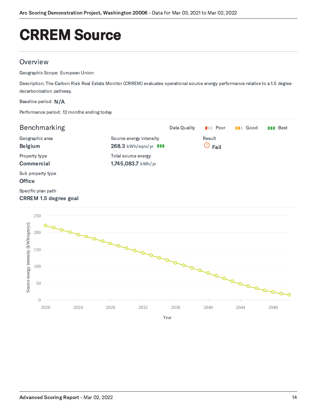# <span id="page-15-0"></span>CRREM Source

#### **Overview**

Geographic Scope: European Union

Description: The Carbon Risk Real Estate Monitor (CRREM) evaluates operational source energy performance relative to a 1.5 degree decarbonization pathway.

Baseline period: N/A

0

Performance period: 12 months ending today

| Benchmarking                                                           |                                                        | Data Quality | $\blacksquare$ Poor       | <b>II</b> Good | Best<br><b>TIME</b> |
|------------------------------------------------------------------------|--------------------------------------------------------|--------------|---------------------------|----------------|---------------------|
| Geographic area<br><b>Belgium</b>                                      | Source energy intensity<br>268.3 kWh/sqm/yr <b>III</b> |              | Result<br>$\odot$<br>Fail |                |                     |
| Property type<br><b>Commercial</b>                                     | Total source energy<br>1,745,083.7 kWh/yr              |              |                           |                |                     |
| Sub property type<br><b>Office</b>                                     |                                                        |              |                           |                |                     |
| Specific plan path<br><b>CRREM 1.5 degree goal</b>                     |                                                        |              |                           |                |                     |
| 250<br>Source energy intensity (kWh/sqm/yr)<br>200<br>150<br>100<br>50 |                                                        |              |                           |                |                     |

2020 2024 2028 2032 2036 2040 2044 2048

Year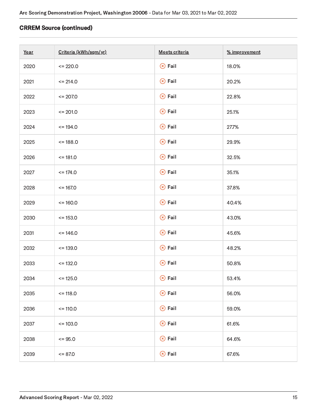#### CRREM Source (continued)

| Year | Criteria (kWh/sqm/yr) | Meets criteria   | % improvement |
|------|-----------------------|------------------|---------------|
| 2020 | $= 220.0$             | $\circledR$ Fail | 18.0%         |
| 2021 | $= 214.0$             | $\circledR$ Fail | 20.2%         |
| 2022 | $\le$ = 207.0         | $\circledR$ Fail | 22.8%         |
| 2023 | $\le$ = 201.0         | $\circledR$ Fail | 25.1%         |
| 2024 | $= 194.0$             | $\circledR$ Fail | 27.7%         |
| 2025 | $= 188.0$             | $\circledR$ Fail | 29.9%         |
| 2026 | $= 181.0$             | $\circledR$ Fail | 32.5%         |
| 2027 | $= 174.0$             | $\circledR$ Fail | 35.1%         |
| 2028 | $= 167.0$             | $\circledR$ Fail | 37.8%         |
| 2029 | $= 160.0$             | $\circledR$ Fail | 40.4%         |
| 2030 | $= 153.0$             | $\circledR$ Fail | 43.0%         |
| 2031 | $= 146.0$             | $\circledR$ Fail | 45.6%         |
| 2032 | $= 139.0$             | $\circledR$ Fail | 48.2%         |
| 2033 | $= 132.0$             | $\circledR$ Fail | 50.8%         |
| 2034 | $= 125.0$             | $\circledR$ Fail | 53.4%         |
| 2035 | $= 118.0$             | $\circledR$ Fail | 56.0%         |
| 2036 | $= 110.0$             | $\circledR$ Fail | 59.0%         |
| 2037 | $= 103.0$             | $\circledR$ Fail | 61.6%         |
| 2038 | $= 95.0$              | $\circledR$ Fail | 64.6%         |
| 2039 | $= 87.0$              | $\circledR$ Fail | 67.6%         |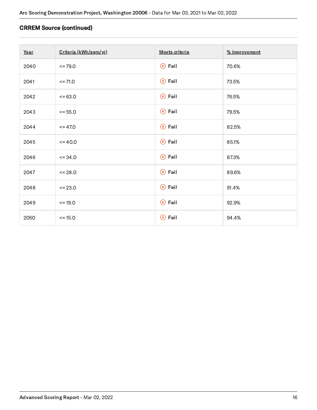#### CRREM Source (continued)

| Year | Criteria (kWh/sqm/yr) | Meets criteria   | % improvement |
|------|-----------------------|------------------|---------------|
| 2040 | $= 79.0$              | $\circledR$ Fail | 70.6%         |
| 2041 | $= 71.0$              | $\circledR$ Fail | 73.5%         |
| 2042 | $= 63.0$              | $\circledR$ Fail | 76.5%         |
| 2043 | $= 55.0$              | $\circledR$ Fail | 79.5%         |
| 2044 | $= 47.0$              | $\circledR$ Fail | 82.5%         |
| 2045 | $= 40.0$              | $\circledR$ Fail | 85.1%         |
| 2046 | $= 34.0$              | $\circledR$ Fail | 87.3%         |
| 2047 | $= 28.0$              | $\circledR$ Fail | 89.6%         |
| 2048 | $\le$ = 23.0          | $\circledR$ Fail | 91.4%         |
| 2049 | $= 19.0$              | $\circledR$ Fail | 92.9%         |
| 2050 | $= 15.0$              | $\circledR$ Fail | 94.4%         |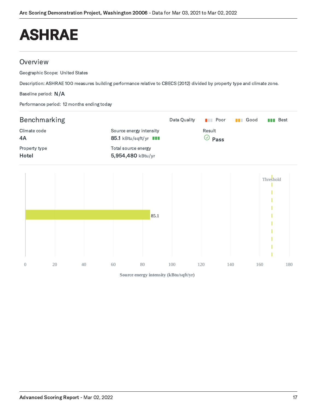## <span id="page-18-0"></span>ASHRAE

### **Overview**

Geographic Scope: United States

Description: ASHRAE 100 measures building performance relative to CBECS (2012) divided by property type and climate zone.

Baseline period: N/A

Performance period: 12 months ending today



0 20 40 60 80 100 120 140 160 180

**Source energy intensity (kBtu/sqft/yr)**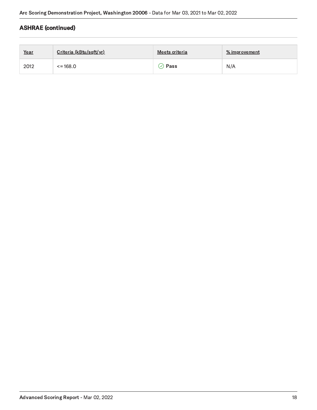### ASHRAE (continued)

| Year | Criteria (kBtu/sqft/yr) | Meets criteria | <u>% improvement</u> |
|------|-------------------------|----------------|----------------------|
| 2012 | $\le$ = 168.0           | Pass           | N/A                  |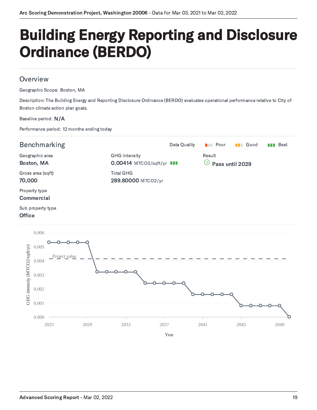### <span id="page-20-0"></span>Building Energy Reporting and Disclosure Ordinance (BERDO)

#### **Overview**

Geographic Scope: Boston, MA

Description: The Building Energy and Reporting Disclosure Ordinance (BERDO) evaluates operational performance relative to City of Boston climate action plan goals.

#### Baseline period: N/A

Performance period: 12 months ending today



Sub property type

#### **Office**

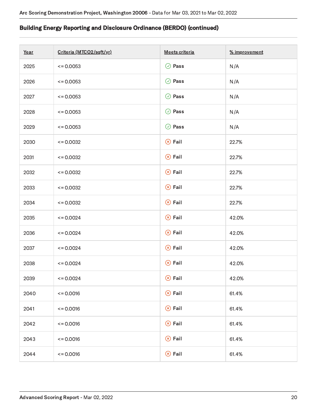#### Building Energy Reporting and Disclosure Ordinance (BERDO) (continued)

| Year | Criteria (MTCO2/sqft/yr) | Meets criteria   | % improvement |
|------|--------------------------|------------------|---------------|
| 2025 | $\leq 0.0053$            | $\oslash$ Pass   | N/A           |
| 2026 | $\leq 0.0053$            | $\oslash$ Pass   | N/A           |
| 2027 | $\leq 0.0053$            | $\oslash$ Pass   | N/A           |
| 2028 | $\leq 0.0053$            | $\odot$ Pass     | N/A           |
| 2029 | $\leq 0.0053$            | $\odot$ Pass     | N/A           |
| 2030 | $\leq 0.0032$            | $\circledR$ Fail | 22.7%         |
| 2031 | $\leq 0.0032$            | $\circledR$ Fail | 22.7%         |
| 2032 | $\leq 0.0032$            | $\circledR$ Fail | 22.7%         |
| 2033 | $\leq 0.0032$            | $\circledR$ Fail | 22.7%         |
| 2034 | $\leq 0.0032$            | $\circledR$ Fail | 22.7%         |
| 2035 | $\leq 0.0024$            | $\circledR$ Fail | 42.0%         |
| 2036 | $\leq 0.0024$            | $\circledR$ Fail | 42.0%         |
| 2037 | $\leq 0.0024$            | $\circledR$ Fail | 42.0%         |
| 2038 | $\leq 0.0024$            | $\circledR$ Fail | 42.0%         |
| 2039 | $\leq 0.0024$            | $\circledR$ Fail | 42.0%         |
| 2040 | $= 0.0016$               | $\circledR$ Fail | 61.4%         |
| 2041 | $\leq 0.0016$            | $\circledR$ Fail | 61.4%         |
| 2042 | $\leq 0.0016$            | $\circledR$ Fail | 61.4%         |
| 2043 | $\leq 0.0016$            | $\circledR$ Fail | 61.4%         |
| 2044 | $= 0.0016$               | $\circledR$ Fail | 61.4%         |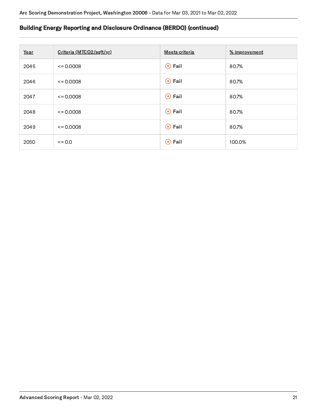#### Building Energy Reporting and Disclosure Ordinance (BERDO) (continued)

| Year | Criteria (MTCO2/sqft/yr) | Meets criteria   | % improvement |
|------|--------------------------|------------------|---------------|
| 2045 | $\leq 0.0008$            | $\circledR$ Fail | 80.7%         |
| 2046 | $\leq 0.0008$            | $\circledR$ Fail | 80.7%         |
| 2047 | $\leq 0.0008$            | $\circledR$ Fail | 80.7%         |
| 2048 | $\leq 0.0008$            | $\circledR$ Fail | 80.7%         |
| 2049 | $\leq 0.0008$            | $\circledR$ Fail | 80.7%         |
| 2050 | $\leq 0.0$               | $\circledR$ Fail | 100.0%        |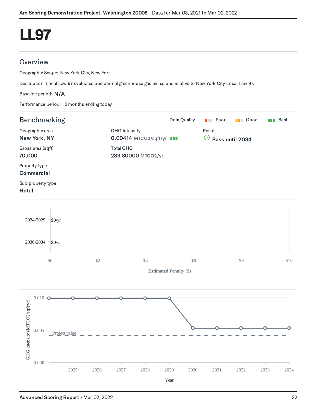## <span id="page-23-0"></span>LL97

### **Overview**

Geographic Scope: New York City, New York

Description: Local Law 97 evaluates operational greenhouse gas emissions relative to New York City Local Law 97.

Baseline period: N/A

Performance period: 12 months ending today

| Benchmarking                                                   |               |                      |                                  |                    |                               | Data Quality                         | $\blacksquare$ Poor | <b>B</b> Good |      | <b>Bull</b> Best |
|----------------------------------------------------------------|---------------|----------------------|----------------------------------|--------------------|-------------------------------|--------------------------------------|---------------------|---------------|------|------------------|
| Geographic area<br>New York, NY<br>Gross area (sqft)<br>70,000 |               | <b>GHG</b> intensity | 0.00414 MTCO2/sqft/yr <b>III</b> |                    |                               | Result<br>$\odot$<br>Pass until 2034 |                     |               |      |                  |
|                                                                |               |                      | <b>Total GHG</b>                 | 289.80000 MTCO2/yr |                               |                                      |                     |               |      |                  |
| Property type<br>Commercial                                    |               |                      |                                  |                    |                               |                                      |                     |               |      |                  |
| Sub property type<br>Hotel                                     |               |                      |                                  |                    |                               |                                      |                     |               |      |                  |
| 2024-2029                                                      | \$0/yr        |                      |                                  |                    |                               |                                      |                     |               |      |                  |
| 2030-2034                                                      | \$0/yr        |                      |                                  |                    |                               |                                      |                     |               |      |                  |
| $\$0$                                                          |               | \$2                  |                                  | $\$4$              | <b>Estimated Penalty (\$)</b> | \$6                                  |                     | $\$8$         |      | \$10             |
| $0.010$ O                                                      |               |                      |                                  |                    |                               |                                      |                     |               |      |                  |
|                                                                |               |                      |                                  |                    |                               |                                      |                     |               |      |                  |
| GHG intensity (MTCO2/sqft/yr)<br>0.005                         | Project value |                      |                                  |                    |                               |                                      |                     |               |      |                  |
| 0.000                                                          | 2025          | 2026                 | 2027                             | 2028               | 2029<br>Year                  | 2030                                 | 2031                | 2032          | 2033 | 2034             |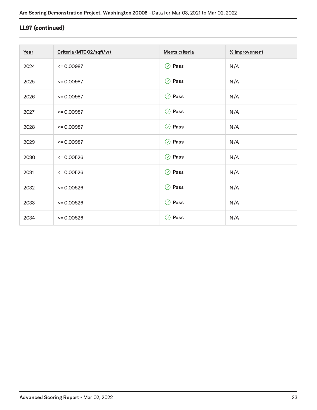### LL97 (continued)

| Year | Criteria (MTCO2/sqft/yr) | Meets criteria | % improvement |
|------|--------------------------|----------------|---------------|
| 2024 | $= 0.00987$              | $\oslash$ Pass | N/A           |
| 2025 | $= 0.00987$              | $\oslash$ Pass | N/A           |
| 2026 | $= 0.00987$              | $\oslash$ Pass | N/A           |
| 2027 | $= 0.00987$              | $\odot$ Pass   | N/A           |
| 2028 | $= 0.00987$              | $\odot$ Pass   | N/A           |
| 2029 | $= 0.00987$              | $\odot$ Pass   | N/A           |
| 2030 | $= 0.00526$              | $\oslash$ Pass | N/A           |
| 2031 | $= 0.00526$              | $\oslash$ Pass | N/A           |
| 2032 | $= 0.00526$              | $\odot$ Pass   | N/A           |
| 2033 | $= 0.00526$              | $\odot$ Pass   | N/A           |
| 2034 | $= 0.00526$              | $\oslash$ Pass | N/A           |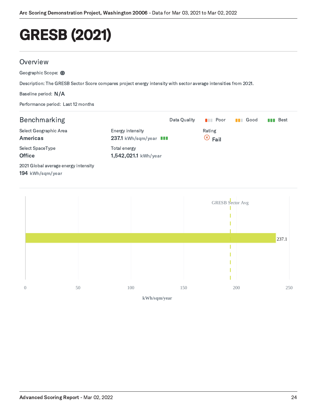# <span id="page-25-0"></span>GRESB (2021)

#### **Overview**

Geographic Scope: (1)

Description: The GRESB Sector Score compares project energy intensity with sector average intensities from 2021.

Baseline period: N/A

Performance period: Last 12 months

| <b>Benchmarking</b>                                      |                                            | Data Quality | Poor<br><b>The Contract of Street</b> | Good<br><b>The Contract of Street</b> | Best<br>n n |
|----------------------------------------------------------|--------------------------------------------|--------------|---------------------------------------|---------------------------------------|-------------|
| Select Geographic Area<br><b>Americas</b>                | Energy intensity<br>237.1 kWh/sqm/year III |              | Rating<br>$\circledcirc$ Fail         |                                       |             |
| Select SpaceType<br><b>Office</b>                        | Total energy<br>1,542,021.1 kWh/year       |              |                                       |                                       |             |
| 2021 Global average energy intensity<br>194 kWh/sqm/year |                                            |              |                                       |                                       |             |

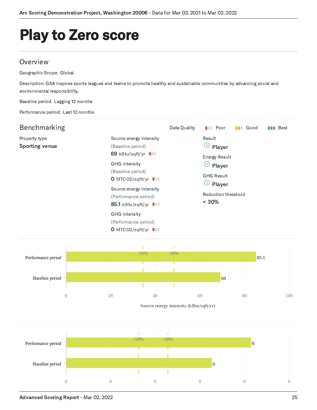## <span id="page-26-0"></span>Play to Zero score

#### **Overview**

Geographic Scope: Global

Description: GSA inspires sports leagues and teams to promote healthy and sustainable communities by advancing social and environmental responsibility.

Baseline period: Lagging 12 months

Performance period: Last 12 months

| Benchmarking                           |                                                                                                                                                                                                                        | Data Quality | Poor<br><b>The Contract of Street</b>                                                                                                                                    | Good<br><b>The Second Second</b> | <b>Best</b><br>n na |
|----------------------------------------|------------------------------------------------------------------------------------------------------------------------------------------------------------------------------------------------------------------------|--------------|--------------------------------------------------------------------------------------------------------------------------------------------------------------------------|----------------------------------|---------------------|
| Property type<br><b>Sporting venue</b> | Source energy intensity<br>(Baseline period)<br>69 kBtu/sqft/yr <b>III</b><br><b>GHG</b> intensity<br>(Baseline period)<br>O MTCO2/sqft/yr III<br>Source energy intensity<br>(Performance period)<br>85.1 kBtu/sqft/yr |              | Result<br>$\heartsuit$<br>Player<br><b>Energy Result</b><br>$(\checkmark)$<br>Player<br><b>GHG Result</b><br>$(\checkmark)$<br>Player<br>Reduction threshold<br>$< 30\%$ |                                  |                     |
|                                        | <b>GHG</b> intensity<br>(Performance period)<br>O MTCO2/sqft/yr $\blacksquare$                                                                                                                                         |              |                                                                                                                                                                          |                                  |                     |



**Source energy intensity (kBtu/sqft/yr)**

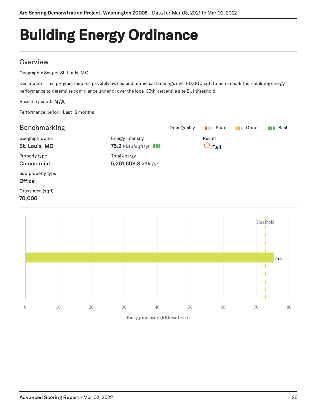# <span id="page-27-0"></span>Building Energy Ordinance

### **Overview**

Geographic Scope: St. Louis, MO

Description: This program requires privately owned and municipal buildings over 50,000 sqft to benchmark their building energy performance to determine compliance under or over the local 35th percentile site EUI threshold.

#### Baseline period: N/A

Performance period: Last 12 months

| Benchmarking                       |                                                  | Data Quality | $\blacksquare$ Poor       | Good<br><b>TELESCOPE</b> | Best<br>N N T |
|------------------------------------|--------------------------------------------------|--------------|---------------------------|--------------------------|---------------|
| Geographic area<br>St. Louis, MO   | Energy intensity<br>75.2 kBtu/sqft/yr <b>III</b> |              | Result<br>$\odot$<br>Fail |                          |               |
| Property type<br>Commercial        | Total energy<br>5,261,608.8 kBtu/yr              |              |                           |                          |               |
| Sub property type<br><b>Office</b> |                                                  |              |                           |                          |               |
| Gross area (sqft)<br>70,000        |                                                  |              |                           |                          |               |
|                                    |                                                  |              |                           |                          |               |



**Energy intensity (kBtu/sqft/yr)**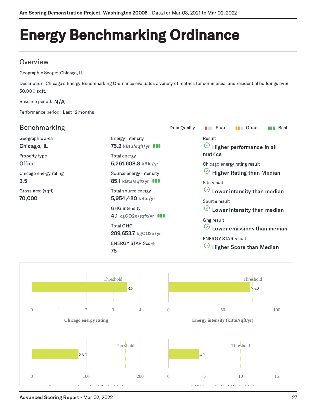# <span id="page-28-0"></span>Energy Benchmarking Ordinance

### **Overview**

Geographic Scope: Chicago, IL

Description: Chicago's Energy Benchmarking Ordinance evaluates a variety of metrics for commercial and residential buildings over 50,000 sqft.

#### Baseline period: N/A

Performance period: Last 12 months

| <b>Benchmarking</b>            |                                                         | Data Quality | Good<br>Poor<br>Best<br><b>TELESCOPE</b><br>n a s<br>n n n                                            |  |  |  |  |  |  |
|--------------------------------|---------------------------------------------------------|--------------|-------------------------------------------------------------------------------------------------------|--|--|--|--|--|--|
| Geographic area<br>Chicago, IL | Energy intensity<br>75.2 kBtu/sqft/yr <b>III</b>        |              | <b>Result</b><br>$\odot$<br>Higher performance in all                                                 |  |  |  |  |  |  |
| Property type<br><b>Office</b> | Total energy<br>5,261,608.8 kBtu/yr                     |              | metrics<br>Chicago energy rating result                                                               |  |  |  |  |  |  |
| Chicago energy rating<br>3.5   | Source energy intensity<br>85.1 kBtu/sqft/yr <b>III</b> |              | <b>Higher Rating than Median</b><br>Site result                                                       |  |  |  |  |  |  |
| Gross area (sqft)<br>70,000    | Total source energy<br>5,954,480 kBtu/yr                |              | Lower intensity than median<br>Source result                                                          |  |  |  |  |  |  |
|                                | <b>GHG</b> intensity<br>4.1 kgCO2e/sqft/yr <b>III</b>   |              | Lower intensity than median<br>Ghg result<br>Lower emissions than median<br><b>ENERGY STAR result</b> |  |  |  |  |  |  |
|                                | <b>Total GHG</b><br>289,653.7 kgCO2e/yr                 |              |                                                                                                       |  |  |  |  |  |  |
|                                | <b>ENERGY STAR Score</b><br>75                          |              | <b>Higher Score than Median</b>                                                                       |  |  |  |  |  |  |